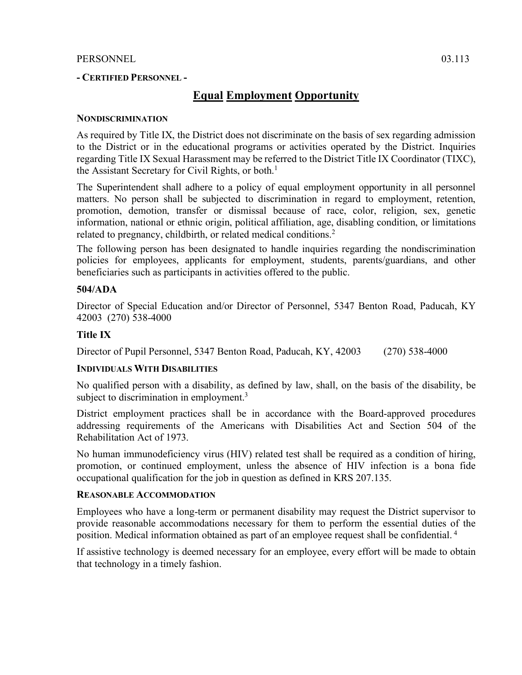## PERSONNEL 03.113

## **- CERTIFIED PERSONNEL -**

# **Equal Employment Opportunity**

## **NONDISCRIMINATION**

As required by Title IX, the District does not discriminate on the basis of sex regarding admission to the District or in the educational programs or activities operated by the District. Inquiries regarding Title IX Sexual Harassment may be referred to the District Title IX Coordinator (TIXC), the Assistant Secretary for Civil Rights, or both. 1

The Superintendent shall adhere to a policy of equal employment opportunity in all personnel matters. No person shall be subjected to discrimination in regard to employment, retention, promotion, demotion, transfer or dismissal because of race, color, religion, sex, genetic information, national or ethnic origin, political affiliation, age, disabling condition, or limitations related to pregnancy, childbirth, or related medical conditions. 2

The following person has been designated to handle inquiries regarding the nondiscrimination policies for employees, applicants for employment, students, parents/guardians, and other beneficiaries such as participants in activities offered to the public.

## **504/ADA**

Director of Special Education and/or Director of Personnel, 5347 Benton Road, Paducah, KY 42003 (270) 538-4000

## **Title IX**

Director of Pupil Personnel, 5347 Benton Road, Paducah, KY, 42003 (270) 538-4000

### **INDIVIDUALS WITH DISABILITIES**

No qualified person with a disability, as defined by law, shall, on the basis of the disability, be subject to discrimination in employment.<sup>3</sup>

District employment practices shall be in accordance with the Board-approved procedures addressing requirements of the Americans with Disabilities Act and Section 504 of the Rehabilitation Act of 1973.

No human immunodeficiency virus (HIV) related test shall be required as a condition of hiring, promotion, or continued employment, unless the absence of HIV infection is a bona fide occupational qualification for the job in question as defined in KRS 207.135.

### **REASONABLE ACCOMMODATION**

Employees who have a long-term or permanent disability may request the District supervisor to provide reasonable accommodations necessary for them to perform the essential duties of the position. Medical information obtained as part of an employee request shall be confidential. <sup>4</sup>

If assistive technology is deemed necessary for an employee, every effort will be made to obtain that technology in a timely fashion.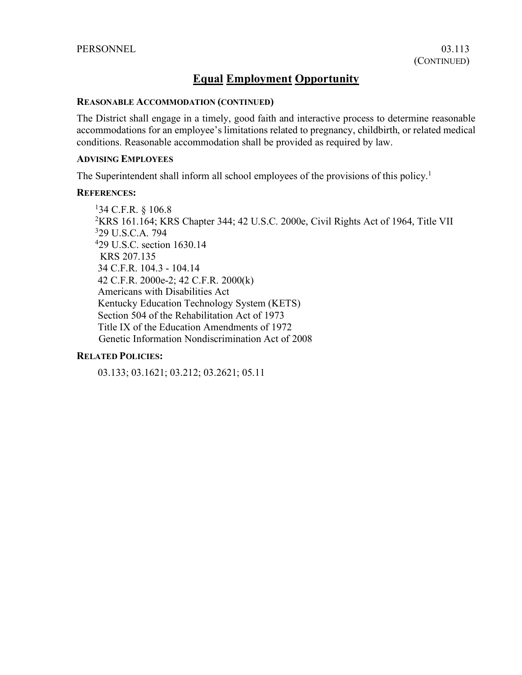# **Equal Employment Opportunity**

### **REASONABLE ACCOMMODATION (CONTINUED)**

The District shall engage in a timely, good faith and interactive process to determine reasonable accommodations for an employee's limitations related to pregnancy, childbirth, or related medical conditions. Reasonable accommodation shall be provided as required by law.

## **ADVISING EMPLOYEES**

The Superintendent shall inform all school employees of the provisions of this policy.<sup>1</sup>

### **REFERENCES:**

1 34 C.F.R. § 106.8 2 KRS 161.164; KRS Chapter 344; 42 U.S.C. 2000e, Civil Rights Act of 1964, Title VII 329 U.S.C.A. 794 4 29 U.S.C. section 1630.14 KRS 207.135 34 C.F.R. 104.3 - 104.14 42 C.F.R. 2000e-2; 42 C.F.R. 2000(k) Americans with Disabilities Act Kentucky Education Technology System (KETS) Section 504 of the Rehabilitation Act of 1973 Title IX of the Education Amendments of 1972 Genetic Information Nondiscrimination Act of 2008

### **RELATED POLICIES:**

03.133; 03.1621; 03.212; 03.2621; 05.11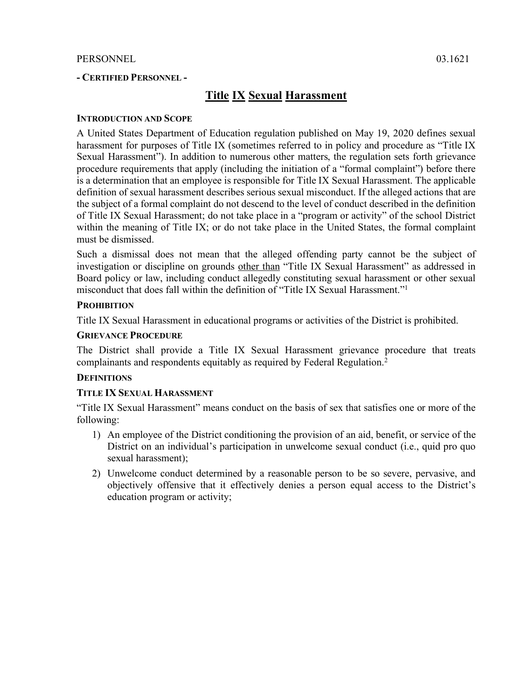# **- CERTIFIED PERSONNEL -**

# **Title IX Sexual Harassment**

## **INTRODUCTION AND SCOPE**

A United States Department of Education regulation published on May 19, 2020 defines sexual harassment for purposes of Title IX (sometimes referred to in policy and procedure as "Title IX Sexual Harassment"). In addition to numerous other matters, the regulation sets forth grievance procedure requirements that apply (including the initiation of a "formal complaint") before there is a determination that an employee is responsible for Title IX Sexual Harassment. The applicable definition of sexual harassment describes serious sexual misconduct. If the alleged actions that are the subject of a formal complaint do not descend to the level of conduct described in the definition of Title IX Sexual Harassment; do not take place in a "program or activity" of the school District within the meaning of Title IX; or do not take place in the United States, the formal complaint must be dismissed.

Such a dismissal does not mean that the alleged offending party cannot be the subject of investigation or discipline on grounds other than "Title IX Sexual Harassment" as addressed in Board policy or law, including conduct allegedly constituting sexual harassment or other sexual misconduct that does fall within the definition of "Title IX Sexual Harassment."1

## **PROHIBITION**

Title IX Sexual Harassment in educational programs or activities of the District is prohibited.

## **GRIEVANCE PROCEDURE**

The District shall provide a Title IX Sexual Harassment grievance procedure that treats complainants and respondents equitably as required by Federal Regulation. 2

## **DEFINITIONS**

## **TITLE IX SEXUAL HARASSMENT**

"Title IX Sexual Harassment" means conduct on the basis of sex that satisfies one or more of the following:

- 1) An employee of the District conditioning the provision of an aid, benefit, or service of the District on an individual's participation in unwelcome sexual conduct (i.e., quid pro quo sexual harassment);
- 2) Unwelcome conduct determined by a reasonable person to be so severe, pervasive, and objectively offensive that it effectively denies a person equal access to the District's education program or activity;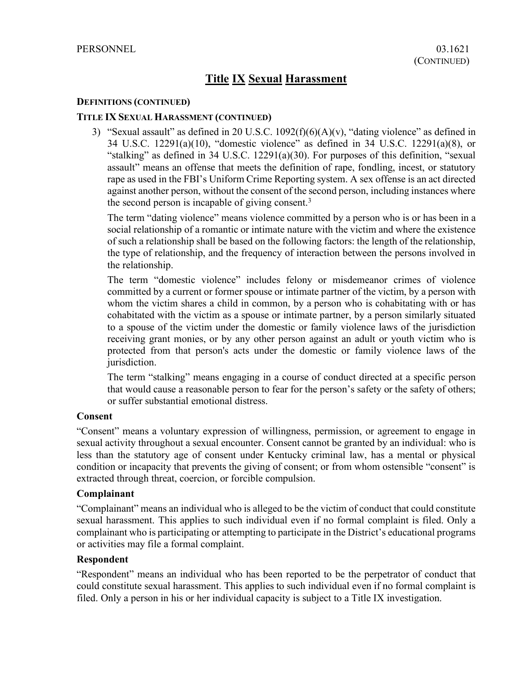### **DEFINITIONS (CONTINUED)**

## **TITLE IX SEXUAL HARASSMENT (CONTINUED)**

3) "Sexual assault" as defined in 20 U.S.C.  $1092(f)(6)(A)(v)$ , "dating violence" as defined in 34 U.S.C. 12291(a)(10), "domestic violence" as defined in 34 U.S.C. 12291(a)(8), or "stalking" as defined in 34 U.S.C. 12291(a)(30). For purposes of this definition, "sexual assault" means an offense that meets the definition of rape, fondling, incest, or statutory rape as used in the FBI's Uniform Crime Reporting system. A sex offense is an act directed against another person, without the consent of the second person, including instances where the second person is incapable of giving consent. 3

The term "dating violence" means violence committed by a person who is or has been in a social relationship of a romantic or intimate nature with the victim and where the existence of such a relationship shall be based on the following factors: the length of the relationship, the type of relationship, and the frequency of interaction between the persons involved in the relationship.

The term "domestic violence" includes felony or misdemeanor crimes of violence committed by a current or former spouse or intimate partner of the victim, by a person with whom the victim shares a child in common, by a person who is cohabitating with or has cohabitated with the victim as a spouse or intimate partner, by a person similarly situated to a spouse of the victim under the domestic or family violence laws of the jurisdiction receiving grant monies, or by any other person against an adult or youth victim who is protected from that person's acts under the domestic or family violence laws of the jurisdiction.

The term "stalking" means engaging in a course of conduct directed at a specific person that would cause a reasonable person to fear for the person's safety or the safety of others; or suffer substantial emotional distress.

### **Consent**

"Consent" means a voluntary expression of willingness, permission, or agreement to engage in sexual activity throughout a sexual encounter. Consent cannot be granted by an individual: who is less than the statutory age of consent under Kentucky criminal law, has a mental or physical condition or incapacity that prevents the giving of consent; or from whom ostensible "consent" is extracted through threat, coercion, or forcible compulsion.

### **Complainant**

"Complainant" means an individual who is alleged to be the victim of conduct that could constitute sexual harassment. This applies to such individual even if no formal complaint is filed. Only a complainant who is participating or attempting to participate in the District's educational programs or activities may file a formal complaint.

## **Respondent**

"Respondent" means an individual who has been reported to be the perpetrator of conduct that could constitute sexual harassment. This applies to such individual even if no formal complaint is filed. Only a person in his or her individual capacity is subject to a Title IX investigation.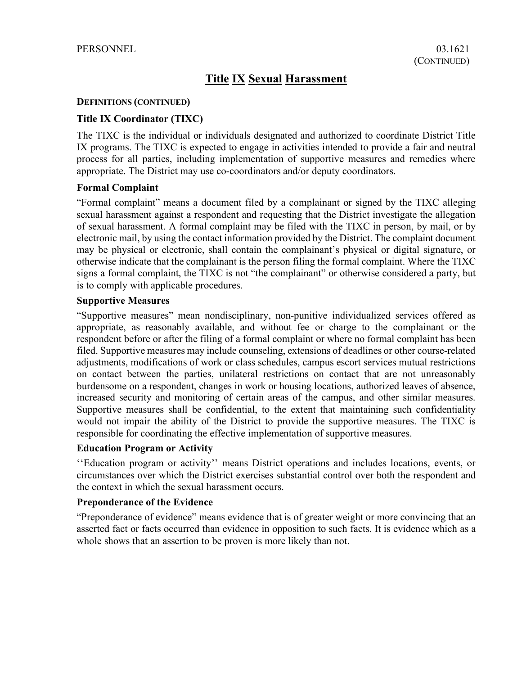### **DEFINITIONS (CONTINUED)**

## **Title IX Coordinator (TIXC)**

The TIXC is the individual or individuals designated and authorized to coordinate District Title IX programs. The TIXC is expected to engage in activities intended to provide a fair and neutral process for all parties, including implementation of supportive measures and remedies where appropriate. The District may use co-coordinators and/or deputy coordinators.

## **Formal Complaint**

"Formal complaint" means a document filed by a complainant or signed by the TIXC alleging sexual harassment against a respondent and requesting that the District investigate the allegation of sexual harassment. A formal complaint may be filed with the TIXC in person, by mail, or by electronic mail, by using the contact information provided by the District. The complaint document may be physical or electronic, shall contain the complainant's physical or digital signature, or otherwise indicate that the complainant is the person filing the formal complaint. Where the TIXC signs a formal complaint, the TIXC is not "the complainant" or otherwise considered a party, but is to comply with applicable procedures.

## **Supportive Measures**

"Supportive measures" mean nondisciplinary, non-punitive individualized services offered as appropriate, as reasonably available, and without fee or charge to the complainant or the respondent before or after the filing of a formal complaint or where no formal complaint has been filed. Supportive measures may include counseling, extensions of deadlines or other course-related adjustments, modifications of work or class schedules, campus escort services mutual restrictions on contact between the parties, unilateral restrictions on contact that are not unreasonably burdensome on a respondent, changes in work or housing locations, authorized leaves of absence, increased security and monitoring of certain areas of the campus, and other similar measures. Supportive measures shall be confidential, to the extent that maintaining such confidentiality would not impair the ability of the District to provide the supportive measures. The TIXC is responsible for coordinating the effective implementation of supportive measures.

## **Education Program or Activity**

''Education program or activity'' means District operations and includes locations, events, or circumstances over which the District exercises substantial control over both the respondent and the context in which the sexual harassment occurs.

# **Preponderance of the Evidence**

"Preponderance of evidence" means evidence that is of greater weight or more convincing that an asserted fact or facts occurred than evidence in opposition to such facts. It is evidence which as a whole shows that an assertion to be proven is more likely than not.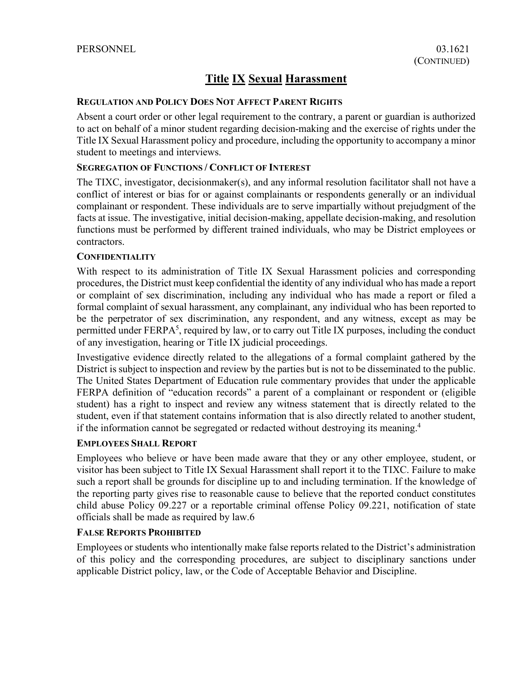### **REGULATION AND POLICY DOES NOT AFFECT PARENT RIGHTS**

Absent a court order or other legal requirement to the contrary, a parent or guardian is authorized to act on behalf of a minor student regarding decision-making and the exercise of rights under the Title IX Sexual Harassment policy and procedure, including the opportunity to accompany a minor student to meetings and interviews.

## **SEGREGATION OF FUNCTIONS / CONFLICT OF INTEREST**

The TIXC, investigator, decisionmaker(s), and any informal resolution facilitator shall not have a conflict of interest or bias for or against complainants or respondents generally or an individual complainant or respondent. These individuals are to serve impartially without prejudgment of the facts at issue. The investigative, initial decision-making, appellate decision-making, and resolution functions must be performed by different trained individuals, who may be District employees or contractors.

### **CONFIDENTIALITY**

With respect to its administration of Title IX Sexual Harassment policies and corresponding procedures, the District must keep confidential the identity of any individual who has made a report or complaint of sex discrimination, including any individual who has made a report or filed a formal complaint of sexual harassment, any complainant, any individual who has been reported to be the perpetrator of sex discrimination, any respondent, and any witness, except as may be permitted under FERPA<sup>5</sup>, required by law, or to carry out Title IX purposes, including the conduct of any investigation, hearing or Title IX judicial proceedings.

Investigative evidence directly related to the allegations of a formal complaint gathered by the District is subject to inspection and review by the parties but is not to be disseminated to the public. The United States Department of Education rule commentary provides that under the applicable FERPA definition of "education records" a parent of a complainant or respondent or (eligible student) has a right to inspect and review any witness statement that is directly related to the student, even if that statement contains information that is also directly related to another student, if the information cannot be segregated or redacted without destroying its meaning.4

## **EMPLOYEES SHALL REPORT**

Employees who believe or have been made aware that they or any other employee, student, or visitor has been subject to Title IX Sexual Harassment shall report it to the TIXC. Failure to make such a report shall be grounds for discipline up to and including termination. If the knowledge of the reporting party gives rise to reasonable cause to believe that the reported conduct constitutes child abuse Policy 09.227 or a reportable criminal offense Policy 09.221, notification of state officials shall be made as required by law.6

## **FALSE REPORTS PROHIBITED**

Employees or students who intentionally make false reports related to the District's administration of this policy and the corresponding procedures, are subject to disciplinary sanctions under applicable District policy, law, or the Code of Acceptable Behavior and Discipline.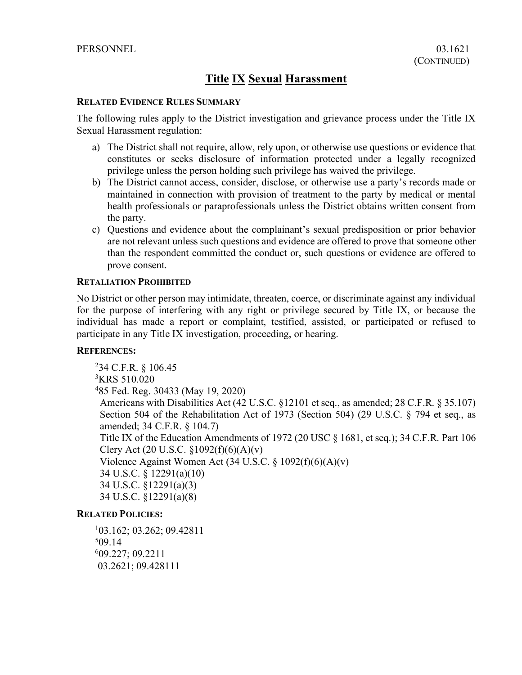### **RELATED EVIDENCE RULES SUMMARY**

The following rules apply to the District investigation and grievance process under the Title IX Sexual Harassment regulation:

- a) The District shall not require, allow, rely upon, or otherwise use questions or evidence that constitutes or seeks disclosure of information protected under a legally recognized privilege unless the person holding such privilege has waived the privilege.
- b) The District cannot access, consider, disclose, or otherwise use a party's records made or maintained in connection with provision of treatment to the party by medical or mental health professionals or paraprofessionals unless the District obtains written consent from the party.
- c) Questions and evidence about the complainant's sexual predisposition or prior behavior are not relevant unless such questions and evidence are offered to prove that someone other than the respondent committed the conduct or, such questions or evidence are offered to prove consent.

### **RETALIATION PROHIBITED**

No District or other person may intimidate, threaten, coerce, or discriminate against any individual for the purpose of interfering with any right or privilege secured by Title IX, or because the individual has made a report or complaint, testified, assisted, or participated or refused to participate in any Title IX investigation, proceeding, or hearing.

### **REFERENCES:**

2 34 C.F.R. § 106.45 3 KRS 510.020 4 85 Fed. Reg. 30433 (May 19, 2020) Americans with Disabilities Act (42 U.S.C. §12101 et seq., as amended; 28 C.F.R. § 35.107) Section 504 of the Rehabilitation Act of 1973 (Section 504) (29 U.S.C. § 794 et seq., as amended; 34 C.F.R. § 104.7) Title IX of the Education Amendments of 1972 (20 USC § 1681, et seq.); 34 C.F.R. Part 106 Clery Act (20 U.S.C. §1092(f)(6)(A)(v) Violence Against Women Act (34 U.S.C. § 1092(f)(6)(A)(v) 34 U.S.C. § 12291(a)(10) 34 U.S.C. §12291(a)(3) 34 U.S.C. §12291(a)(8)

## **RELATED POLICIES:**

1 03.162; 03.262; 09.42811 5 09.14 609.227; 09.2211 03.2621; 09.428111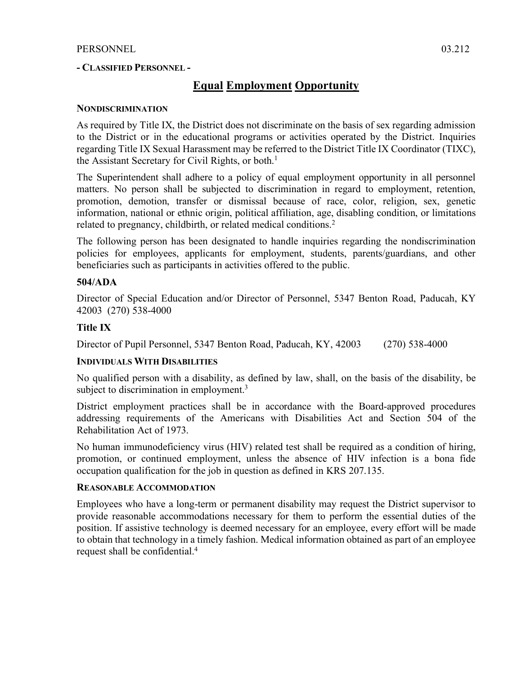### **- CLASSIFIED PERSONNEL -**

# **Equal Employment Opportunity**

### **NONDISCRIMINATION**

As required by Title IX, the District does not discriminate on the basis of sex regarding admission to the District or in the educational programs or activities operated by the District. Inquiries regarding Title IX Sexual Harassment may be referred to the District Title IX Coordinator (TIXC), the Assistant Secretary for Civil Rights, or both. 1

The Superintendent shall adhere to a policy of equal employment opportunity in all personnel matters. No person shall be subjected to discrimination in regard to employment, retention, promotion, demotion, transfer or dismissal because of race, color, religion, sex, genetic information, national or ethnic origin, political affiliation, age, disabling condition, or limitations related to pregnancy, childbirth, or related medical conditions. 2

The following person has been designated to handle inquiries regarding the nondiscrimination policies for employees, applicants for employment, students, parents/guardians, and other beneficiaries such as participants in activities offered to the public.

## **504/ADA**

Director of Special Education and/or Director of Personnel, 5347 Benton Road, Paducah, KY 42003 (270) 538-4000

### **Title IX**

Director of Pupil Personnel, 5347 Benton Road, Paducah, KY, 42003 (270) 538-4000

### **INDIVIDUALS WITH DISABILITIES**

No qualified person with a disability, as defined by law, shall, on the basis of the disability, be subject to discrimination in employment.<sup>3</sup>

District employment practices shall be in accordance with the Board-approved procedures addressing requirements of the Americans with Disabilities Act and Section 504 of the Rehabilitation Act of 1973.

No human immunodeficiency virus (HIV) related test shall be required as a condition of hiring, promotion, or continued employment, unless the absence of HIV infection is a bona fide occupation qualification for the job in question as defined in KRS 207.135.

### **REASONABLE ACCOMMODATION**

Employees who have a long-term or permanent disability may request the District supervisor to provide reasonable accommodations necessary for them to perform the essential duties of the position. If assistive technology is deemed necessary for an employee, every effort will be made to obtain that technology in a timely fashion. Medical information obtained as part of an employee request shall be confidential.4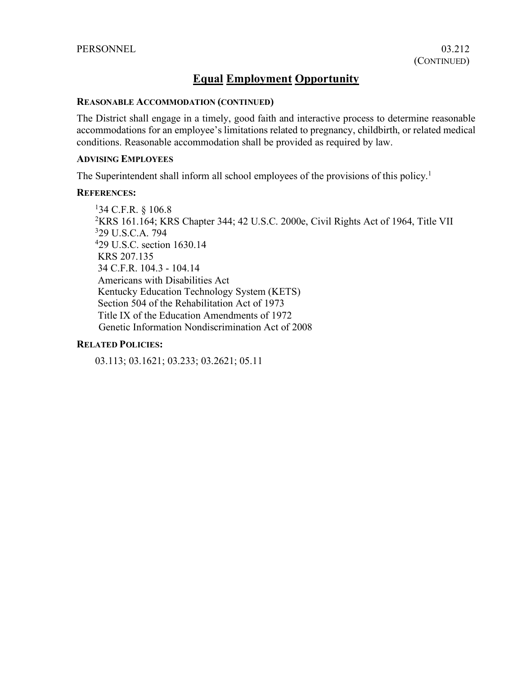# **Equal Employment Opportunity**

### **REASONABLE ACCOMMODATION (CONTINUED)**

The District shall engage in a timely, good faith and interactive process to determine reasonable accommodations for an employee's limitations related to pregnancy, childbirth, or related medical conditions. Reasonable accommodation shall be provided as required by law.

# **ADVISING EMPLOYEES**

The Superintendent shall inform all school employees of the provisions of this policy.<sup>1</sup>

### **REFERENCES:**

1 34 C.F.R. § 106.8 2 KRS 161.164; KRS Chapter 344; 42 U.S.C. 2000e, Civil Rights Act of 1964, Title VII 329 U.S.C.A. 794 4 29 U.S.C. section 1630.14 KRS 207.135 34 C.F.R. 104.3 - 104.14 Americans with Disabilities Act Kentucky Education Technology System (KETS) Section 504 of the Rehabilitation Act of 1973 Title IX of the Education Amendments of 1972 Genetic Information Nondiscrimination Act of 2008

### **RELATED POLICIES:**

03.113; 03.1621; 03.233; 03.2621; 05.11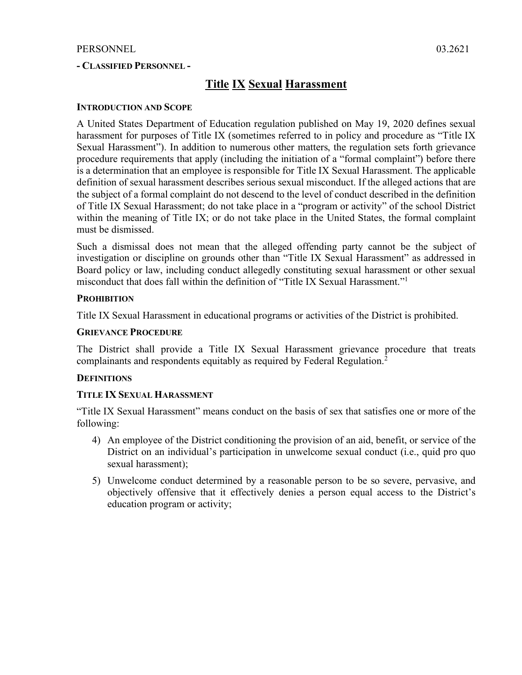## **- CLASSIFIED PERSONNEL -**

# **Title IX Sexual Harassment**

### **INTRODUCTION AND SCOPE**

A United States Department of Education regulation published on May 19, 2020 defines sexual harassment for purposes of Title IX (sometimes referred to in policy and procedure as "Title IX Sexual Harassment"). In addition to numerous other matters, the regulation sets forth grievance procedure requirements that apply (including the initiation of a "formal complaint") before there is a determination that an employee is responsible for Title IX Sexual Harassment. The applicable definition of sexual harassment describes serious sexual misconduct. If the alleged actions that are the subject of a formal complaint do not descend to the level of conduct described in the definition of Title IX Sexual Harassment; do not take place in a "program or activity" of the school District within the meaning of Title IX; or do not take place in the United States, the formal complaint must be dismissed.

Such a dismissal does not mean that the alleged offending party cannot be the subject of investigation or discipline on grounds other than "Title IX Sexual Harassment" as addressed in Board policy or law, including conduct allegedly constituting sexual harassment or other sexual misconduct that does fall within the definition of "Title IX Sexual Harassment."1

### **PROHIBITION**

Title IX Sexual Harassment in educational programs or activities of the District is prohibited.

## **GRIEVANCE PROCEDURE**

The District shall provide a Title IX Sexual Harassment grievance procedure that treats complainants and respondents equitably as required by Federal Regulation. 2

### **DEFINITIONS**

### **TITLE IX SEXUAL HARASSMENT**

"Title IX Sexual Harassment" means conduct on the basis of sex that satisfies one or more of the following:

- 4) An employee of the District conditioning the provision of an aid, benefit, or service of the District on an individual's participation in unwelcome sexual conduct (i.e., quid pro quo sexual harassment);
- 5) Unwelcome conduct determined by a reasonable person to be so severe, pervasive, and objectively offensive that it effectively denies a person equal access to the District's education program or activity;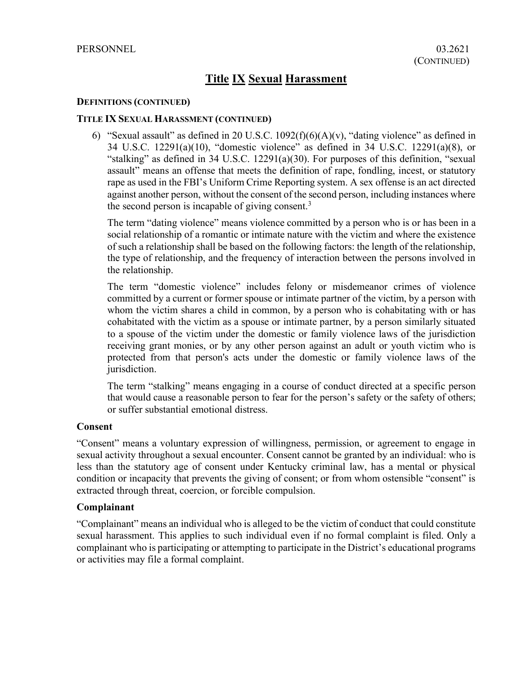### **DEFINITIONS (CONTINUED)**

### **TITLE IX SEXUAL HARASSMENT (CONTINUED)**

6) "Sexual assault" as defined in 20 U.S.C.  $1092(f)(6)(A)(v)$ , "dating violence" as defined in 34 U.S.C. 12291(a)(10), "domestic violence" as defined in 34 U.S.C. 12291(a)(8), or "stalking" as defined in 34 U.S.C. 12291(a)(30). For purposes of this definition, "sexual assault" means an offense that meets the definition of rape, fondling, incest, or statutory rape as used in the FBI's Uniform Crime Reporting system. A sex offense is an act directed against another person, without the consent of the second person, including instances where the second person is incapable of giving consent.<sup>3</sup>

The term "dating violence" means violence committed by a person who is or has been in a social relationship of a romantic or intimate nature with the victim and where the existence of such a relationship shall be based on the following factors: the length of the relationship, the type of relationship, and the frequency of interaction between the persons involved in the relationship.

The term "domestic violence" includes felony or misdemeanor crimes of violence committed by a current or former spouse or intimate partner of the victim, by a person with whom the victim shares a child in common, by a person who is cohabitating with or has cohabitated with the victim as a spouse or intimate partner, by a person similarly situated to a spouse of the victim under the domestic or family violence laws of the jurisdiction receiving grant monies, or by any other person against an adult or youth victim who is protected from that person's acts under the domestic or family violence laws of the jurisdiction.

The term "stalking" means engaging in a course of conduct directed at a specific person that would cause a reasonable person to fear for the person's safety or the safety of others; or suffer substantial emotional distress.

### **Consent**

"Consent" means a voluntary expression of willingness, permission, or agreement to engage in sexual activity throughout a sexual encounter. Consent cannot be granted by an individual: who is less than the statutory age of consent under Kentucky criminal law, has a mental or physical condition or incapacity that prevents the giving of consent; or from whom ostensible "consent" is extracted through threat, coercion, or forcible compulsion.

### **Complainant**

"Complainant" means an individual who is alleged to be the victim of conduct that could constitute sexual harassment. This applies to such individual even if no formal complaint is filed. Only a complainant who is participating or attempting to participate in the District's educational programs or activities may file a formal complaint.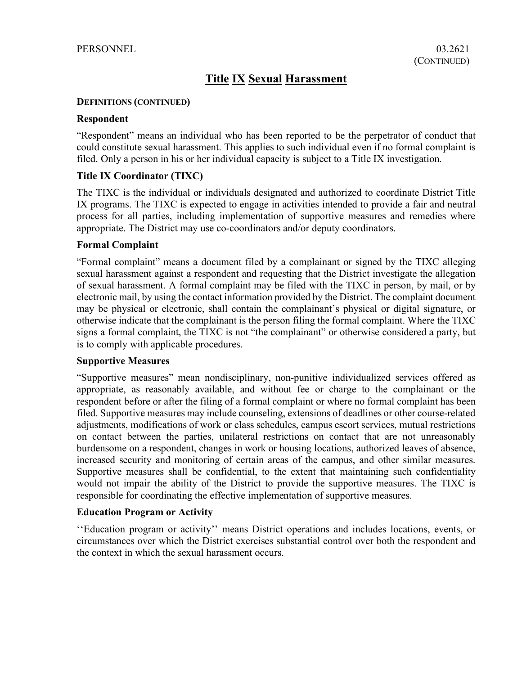### **DEFINITIONS (CONTINUED)**

### **Respondent**

"Respondent" means an individual who has been reported to be the perpetrator of conduct that could constitute sexual harassment. This applies to such individual even if no formal complaint is filed. Only a person in his or her individual capacity is subject to a Title IX investigation.

## **Title IX Coordinator (TIXC)**

The TIXC is the individual or individuals designated and authorized to coordinate District Title IX programs. The TIXC is expected to engage in activities intended to provide a fair and neutral process for all parties, including implementation of supportive measures and remedies where appropriate. The District may use co-coordinators and/or deputy coordinators.

## **Formal Complaint**

"Formal complaint" means a document filed by a complainant or signed by the TIXC alleging sexual harassment against a respondent and requesting that the District investigate the allegation of sexual harassment. A formal complaint may be filed with the TIXC in person, by mail, or by electronic mail, by using the contact information provided by the District. The complaint document may be physical or electronic, shall contain the complainant's physical or digital signature, or otherwise indicate that the complainant is the person filing the formal complaint. Where the TIXC signs a formal complaint, the TIXC is not "the complainant" or otherwise considered a party, but is to comply with applicable procedures.

### **Supportive Measures**

"Supportive measures" mean nondisciplinary, non-punitive individualized services offered as appropriate, as reasonably available, and without fee or charge to the complainant or the respondent before or after the filing of a formal complaint or where no formal complaint has been filed. Supportive measures may include counseling, extensions of deadlines or other course-related adjustments, modifications of work or class schedules, campus escort services, mutual restrictions on contact between the parties, unilateral restrictions on contact that are not unreasonably burdensome on a respondent, changes in work or housing locations, authorized leaves of absence, increased security and monitoring of certain areas of the campus, and other similar measures. Supportive measures shall be confidential, to the extent that maintaining such confidentiality would not impair the ability of the District to provide the supportive measures. The TIXC is responsible for coordinating the effective implementation of supportive measures.

## **Education Program or Activity**

''Education program or activity'' means District operations and includes locations, events, or circumstances over which the District exercises substantial control over both the respondent and the context in which the sexual harassment occurs.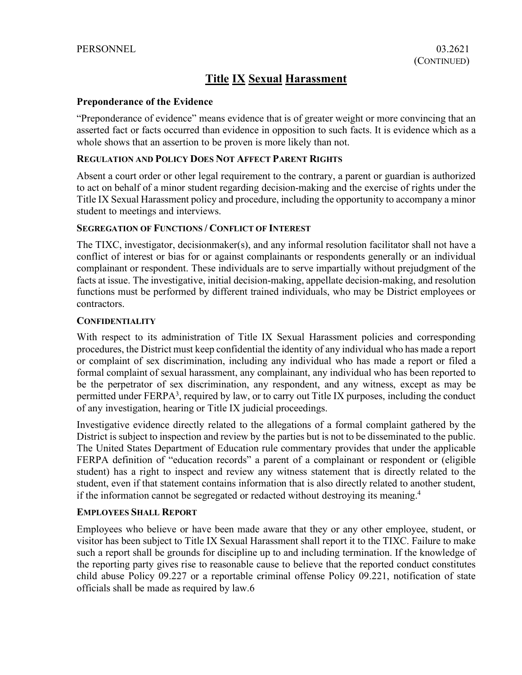## **Preponderance of the Evidence**

"Preponderance of evidence" means evidence that is of greater weight or more convincing that an asserted fact or facts occurred than evidence in opposition to such facts. It is evidence which as a whole shows that an assertion to be proven is more likely than not.

## **REGULATION AND POLICY DOES NOT AFFECT PARENT RIGHTS**

Absent a court order or other legal requirement to the contrary, a parent or guardian is authorized to act on behalf of a minor student regarding decision-making and the exercise of rights under the Title IX Sexual Harassment policy and procedure, including the opportunity to accompany a minor student to meetings and interviews.

### **SEGREGATION OF FUNCTIONS / CONFLICT OF INTEREST**

The TIXC, investigator, decisionmaker(s), and any informal resolution facilitator shall not have a conflict of interest or bias for or against complainants or respondents generally or an individual complainant or respondent. These individuals are to serve impartially without prejudgment of the facts at issue. The investigative, initial decision-making, appellate decision-making, and resolution functions must be performed by different trained individuals, who may be District employees or contractors.

### **CONFIDENTIALITY**

With respect to its administration of Title IX Sexual Harassment policies and corresponding procedures, the District must keep confidential the identity of any individual who has made a report or complaint of sex discrimination, including any individual who has made a report or filed a formal complaint of sexual harassment, any complainant, any individual who has been reported to be the perpetrator of sex discrimination, any respondent, and any witness, except as may be permitted under FERPA<sup>3</sup>, required by law, or to carry out Title IX purposes, including the conduct of any investigation, hearing or Title IX judicial proceedings.

Investigative evidence directly related to the allegations of a formal complaint gathered by the District is subject to inspection and review by the parties but is not to be disseminated to the public. The United States Department of Education rule commentary provides that under the applicable FERPA definition of "education records" a parent of a complainant or respondent or (eligible student) has a right to inspect and review any witness statement that is directly related to the student, even if that statement contains information that is also directly related to another student, if the information cannot be segregated or redacted without destroying its meaning.4

### **EMPLOYEES SHALL REPORT**

Employees who believe or have been made aware that they or any other employee, student, or visitor has been subject to Title IX Sexual Harassment shall report it to the TIXC. Failure to make such a report shall be grounds for discipline up to and including termination. If the knowledge of the reporting party gives rise to reasonable cause to believe that the reported conduct constitutes child abuse Policy 09.227 or a reportable criminal offense Policy 09.221, notification of state officials shall be made as required by law.6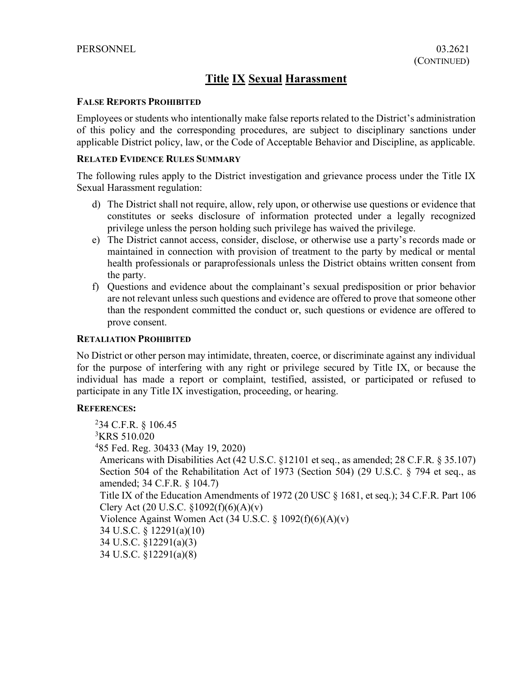### **FALSE REPORTS PROHIBITED**

Employees or students who intentionally make false reports related to the District's administration of this policy and the corresponding procedures, are subject to disciplinary sanctions under applicable District policy, law, or the Code of Acceptable Behavior and Discipline, as applicable.

# **RELATED EVIDENCE RULES SUMMARY**

The following rules apply to the District investigation and grievance process under the Title IX Sexual Harassment regulation:

- d) The District shall not require, allow, rely upon, or otherwise use questions or evidence that constitutes or seeks disclosure of information protected under a legally recognized privilege unless the person holding such privilege has waived the privilege.
- e) The District cannot access, consider, disclose, or otherwise use a party's records made or maintained in connection with provision of treatment to the party by medical or mental health professionals or paraprofessionals unless the District obtains written consent from the party.
- f) Questions and evidence about the complainant's sexual predisposition or prior behavior are not relevant unless such questions and evidence are offered to prove that someone other than the respondent committed the conduct or, such questions or evidence are offered to prove consent.

## **RETALIATION PROHIBITED**

No District or other person may intimidate, threaten, coerce, or discriminate against any individual for the purpose of interfering with any right or privilege secured by Title IX, or because the individual has made a report or complaint, testified, assisted, or participated or refused to participate in any Title IX investigation, proceeding, or hearing.

## **REFERENCES:**

2 34 C.F.R. § 106.45 <sup>3</sup>KRS 510.020 4 85 Fed. Reg. 30433 (May 19, 2020) Americans with Disabilities Act (42 U.S.C. §12101 et seq., as amended; 28 C.F.R. § 35.107) Section 504 of the Rehabilitation Act of 1973 (Section 504) (29 U.S.C. § 794 et seq., as amended; 34 C.F.R. § 104.7) Title IX of the Education Amendments of 1972 (20 USC § 1681, et seq.); 34 C.F.R. Part 106 Clery Act (20 U.S.C.  $$1092(f)(6)(A)(v)$ ) Violence Against Women Act (34 U.S.C. § 1092(f)(6)(A)(v) 34 U.S.C. § 12291(a)(10) 34 U.S.C. §12291(a)(3) 34 U.S.C. §12291(a)(8)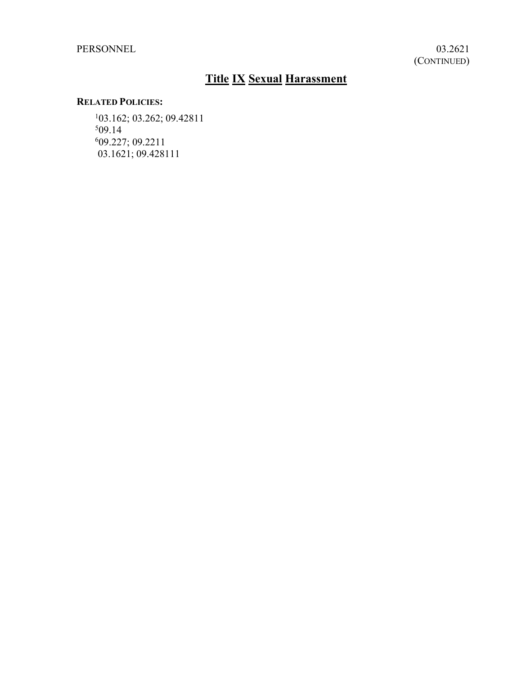PERSONNEL 03.2621

# **Title IX Sexual Harassment**

# **RELATED POLICIES:**

1 03.162; 03.262; 09.42811 5 09.14 6 09.227; 09.2211 03.1621; 09.428111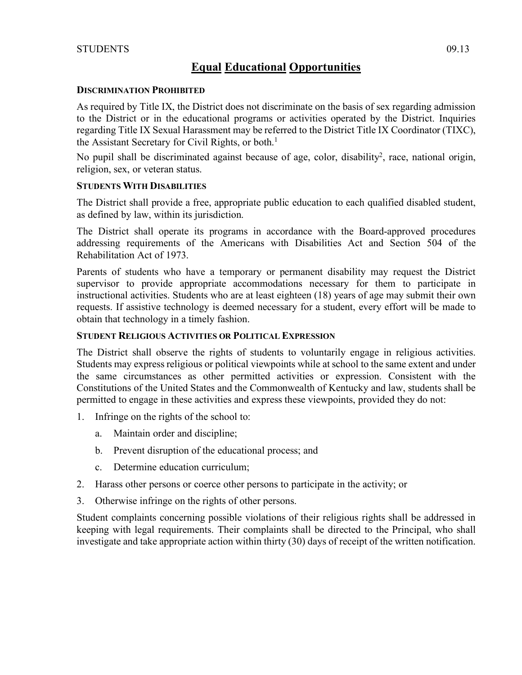# **Equal Educational Opportunities**

## **DISCRIMINATION PROHIBITED**

As required by Title IX, the District does not discriminate on the basis of sex regarding admission to the District or in the educational programs or activities operated by the District. Inquiries regarding Title IX Sexual Harassment may be referred to the District Title IX Coordinator (TIXC), the Assistant Secretary for Civil Rights, or both. 1

No pupil shall be discriminated against because of age, color, disability<sup>2</sup>, race, national origin, religion, sex, or veteran status.

# **STUDENTS WITH DISABILITIES**

The District shall provide a free, appropriate public education to each qualified disabled student, as defined by law, within its jurisdiction.

The District shall operate its programs in accordance with the Board-approved procedures addressing requirements of the Americans with Disabilities Act and Section 504 of the Rehabilitation Act of 1973.

Parents of students who have a temporary or permanent disability may request the District supervisor to provide appropriate accommodations necessary for them to participate in instructional activities. Students who are at least eighteen (18) years of age may submit their own requests. If assistive technology is deemed necessary for a student, every effort will be made to obtain that technology in a timely fashion.

# **STUDENT RELIGIOUS ACTIVITIES OR POLITICAL EXPRESSION**

The District shall observe the rights of students to voluntarily engage in religious activities. Students may express religious or political viewpoints while at school to the same extent and under the same circumstances as other permitted activities or expression. Consistent with the Constitutions of the United States and the Commonwealth of Kentucky and law, students shall be permitted to engage in these activities and express these viewpoints, provided they do not:

- 1. Infringe on the rights of the school to:
	- a. Maintain order and discipline;
	- b. Prevent disruption of the educational process; and
	- c. Determine education curriculum;
- 2. Harass other persons or coerce other persons to participate in the activity; or
- 3. Otherwise infringe on the rights of other persons.

Student complaints concerning possible violations of their religious rights shall be addressed in keeping with legal requirements. Their complaints shall be directed to the Principal, who shall investigate and take appropriate action within thirty (30) days of receipt of the written notification.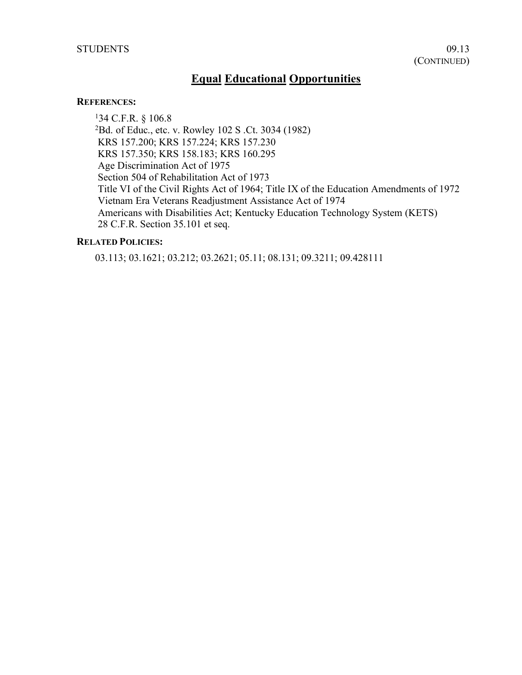# **Equal Educational Opportunities**

#### **REFERENCES:**

1 34 C.F.R. § 106.8 2 Bd. of Educ., etc. v. Rowley 102 S .Ct. 3034 (1982) KRS 157.200; KRS 157.224; KRS 157.230 KRS 157.350; KRS 158.183; KRS 160.295 Age Discrimination Act of 1975 Section 504 of Rehabilitation Act of 1973 Title VI of the Civil Rights Act of 1964; Title IX of the Education Amendments of 1972 Vietnam Era Veterans Readjustment Assistance Act of 1974 Americans with Disabilities Act; Kentucky Education Technology System (KETS) 28 C.F.R. Section 35.101 et seq.

## **RELATED POLICIES:**

03.113; 03.1621; 03.212; 03.2621; 05.11; 08.131; 09.3211; 09.428111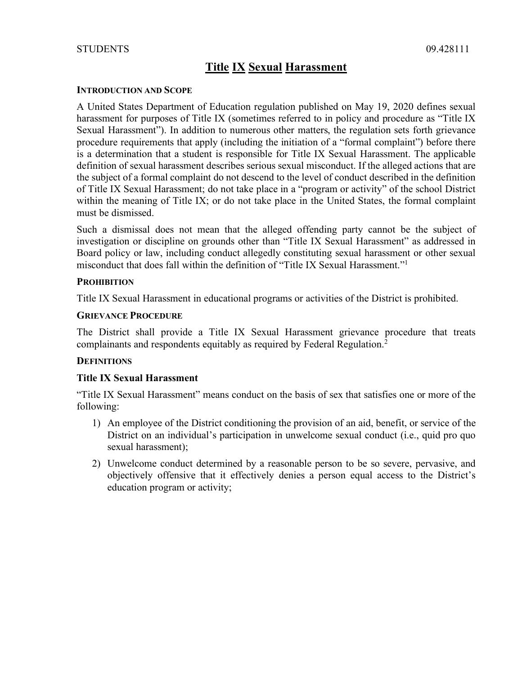### **INTRODUCTION AND SCOPE**

A United States Department of Education regulation published on May 19, 2020 defines sexual harassment for purposes of Title IX (sometimes referred to in policy and procedure as "Title IX Sexual Harassment"). In addition to numerous other matters, the regulation sets forth grievance procedure requirements that apply (including the initiation of a "formal complaint") before there is a determination that a student is responsible for Title IX Sexual Harassment. The applicable definition of sexual harassment describes serious sexual misconduct. If the alleged actions that are the subject of a formal complaint do not descend to the level of conduct described in the definition of Title IX Sexual Harassment; do not take place in a "program or activity" of the school District within the meaning of Title IX; or do not take place in the United States, the formal complaint must be dismissed.

Such a dismissal does not mean that the alleged offending party cannot be the subject of investigation or discipline on grounds other than "Title IX Sexual Harassment" as addressed in Board policy or law, including conduct allegedly constituting sexual harassment or other sexual misconduct that does fall within the definition of "Title IX Sexual Harassment."1

### **PROHIBITION**

Title IX Sexual Harassment in educational programs or activities of the District is prohibited.

### **GRIEVANCE PROCEDURE**

The District shall provide a Title IX Sexual Harassment grievance procedure that treats complainants and respondents equitably as required by Federal Regulation.<sup>2</sup>

## **DEFINITIONS**

## **Title IX Sexual Harassment**

"Title IX Sexual Harassment" means conduct on the basis of sex that satisfies one or more of the following:

- 1) An employee of the District conditioning the provision of an aid, benefit, or service of the District on an individual's participation in unwelcome sexual conduct (i.e., quid pro quo sexual harassment);
- 2) Unwelcome conduct determined by a reasonable person to be so severe, pervasive, and objectively offensive that it effectively denies a person equal access to the District's education program or activity;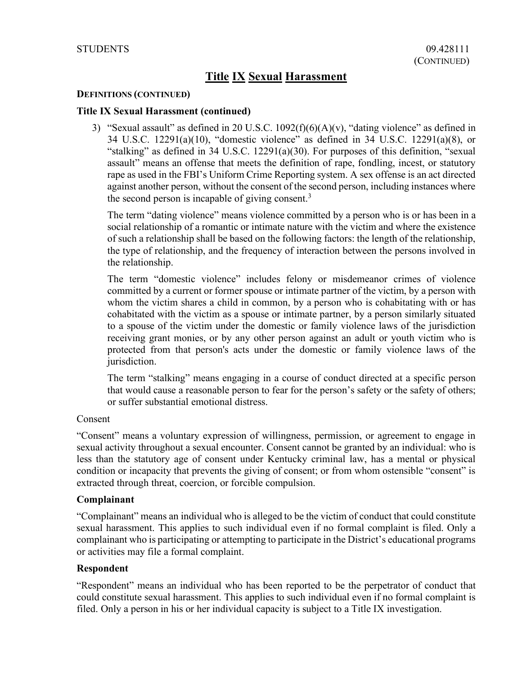### **DEFINITIONS (CONTINUED)**

### **Title IX Sexual Harassment (continued)**

3) "Sexual assault" as defined in 20 U.S.C.  $1092(f)(6)(A)(v)$ , "dating violence" as defined in 34 U.S.C. 12291(a)(10), "domestic violence" as defined in 34 U.S.C. 12291(a)(8), or "stalking" as defined in 34 U.S.C. 12291(a)(30). For purposes of this definition, "sexual assault" means an offense that meets the definition of rape, fondling, incest, or statutory rape as used in the FBI's Uniform Crime Reporting system. A sex offense is an act directed against another person, without the consent of the second person, including instances where the second person is incapable of giving consent.<sup>3</sup>

The term "dating violence" means violence committed by a person who is or has been in a social relationship of a romantic or intimate nature with the victim and where the existence of such a relationship shall be based on the following factors: the length of the relationship, the type of relationship, and the frequency of interaction between the persons involved in the relationship.

The term "domestic violence" includes felony or misdemeanor crimes of violence committed by a current or former spouse or intimate partner of the victim, by a person with whom the victim shares a child in common, by a person who is cohabitating with or has cohabitated with the victim as a spouse or intimate partner, by a person similarly situated to a spouse of the victim under the domestic or family violence laws of the jurisdiction receiving grant monies, or by any other person against an adult or youth victim who is protected from that person's acts under the domestic or family violence laws of the jurisdiction.

The term "stalking" means engaging in a course of conduct directed at a specific person that would cause a reasonable person to fear for the person's safety or the safety of others; or suffer substantial emotional distress.

### Consent

"Consent" means a voluntary expression of willingness, permission, or agreement to engage in sexual activity throughout a sexual encounter. Consent cannot be granted by an individual: who is less than the statutory age of consent under Kentucky criminal law, has a mental or physical condition or incapacity that prevents the giving of consent; or from whom ostensible "consent" is extracted through threat, coercion, or forcible compulsion.

### **Complainant**

"Complainant" means an individual who is alleged to be the victim of conduct that could constitute sexual harassment. This applies to such individual even if no formal complaint is filed. Only a complainant who is participating or attempting to participate in the District's educational programs or activities may file a formal complaint.

### **Respondent**

"Respondent" means an individual who has been reported to be the perpetrator of conduct that could constitute sexual harassment. This applies to such individual even if no formal complaint is filed. Only a person in his or her individual capacity is subject to a Title IX investigation.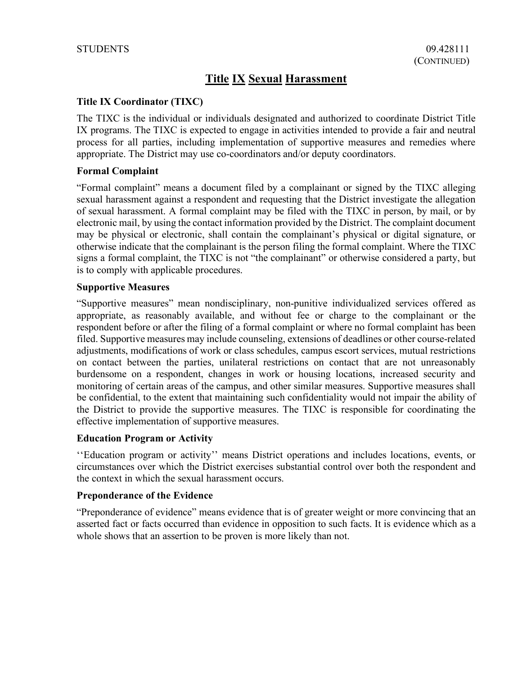# **Title IX Coordinator (TIXC)**

The TIXC is the individual or individuals designated and authorized to coordinate District Title IX programs. The TIXC is expected to engage in activities intended to provide a fair and neutral process for all parties, including implementation of supportive measures and remedies where appropriate. The District may use co-coordinators and/or deputy coordinators.

## **Formal Complaint**

"Formal complaint" means a document filed by a complainant or signed by the TIXC alleging sexual harassment against a respondent and requesting that the District investigate the allegation of sexual harassment. A formal complaint may be filed with the TIXC in person, by mail, or by electronic mail, by using the contact information provided by the District. The complaint document may be physical or electronic, shall contain the complainant's physical or digital signature, or otherwise indicate that the complainant is the person filing the formal complaint. Where the TIXC signs a formal complaint, the TIXC is not "the complainant" or otherwise considered a party, but is to comply with applicable procedures.

## **Supportive Measures**

"Supportive measures" mean nondisciplinary, non-punitive individualized services offered as appropriate, as reasonably available, and without fee or charge to the complainant or the respondent before or after the filing of a formal complaint or where no formal complaint has been filed. Supportive measures may include counseling, extensions of deadlines or other course-related adjustments, modifications of work or class schedules, campus escort services, mutual restrictions on contact between the parties, unilateral restrictions on contact that are not unreasonably burdensome on a respondent, changes in work or housing locations, increased security and monitoring of certain areas of the campus, and other similar measures. Supportive measures shall be confidential, to the extent that maintaining such confidentiality would not impair the ability of the District to provide the supportive measures. The TIXC is responsible for coordinating the effective implementation of supportive measures.

# **Education Program or Activity**

''Education program or activity'' means District operations and includes locations, events, or circumstances over which the District exercises substantial control over both the respondent and the context in which the sexual harassment occurs.

## **Preponderance of the Evidence**

"Preponderance of evidence" means evidence that is of greater weight or more convincing that an asserted fact or facts occurred than evidence in opposition to such facts. It is evidence which as a whole shows that an assertion to be proven is more likely than not.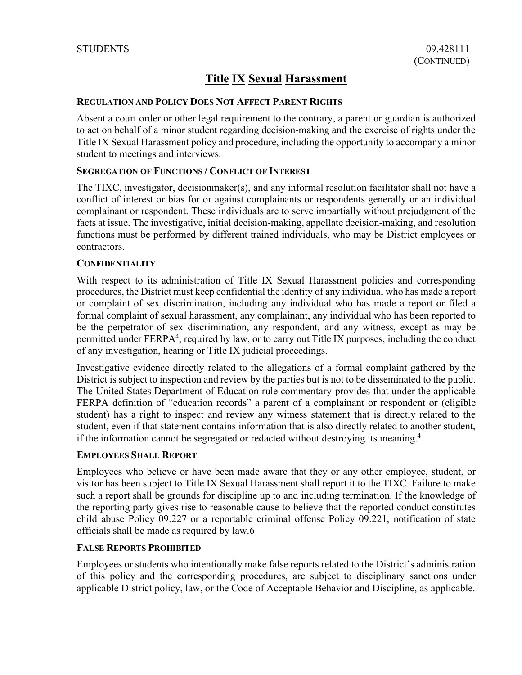### **REGULATION AND POLICY DOES NOT AFFECT PARENT RIGHTS**

Absent a court order or other legal requirement to the contrary, a parent or guardian is authorized to act on behalf of a minor student regarding decision-making and the exercise of rights under the Title IX Sexual Harassment policy and procedure, including the opportunity to accompany a minor student to meetings and interviews.

### **SEGREGATION OF FUNCTIONS / CONFLICT OF INTEREST**

The TIXC, investigator, decisionmaker(s), and any informal resolution facilitator shall not have a conflict of interest or bias for or against complainants or respondents generally or an individual complainant or respondent. These individuals are to serve impartially without prejudgment of the facts at issue. The investigative, initial decision-making, appellate decision-making, and resolution functions must be performed by different trained individuals, who may be District employees or contractors.

### **CONFIDENTIALITY**

With respect to its administration of Title IX Sexual Harassment policies and corresponding procedures, the District must keep confidential the identity of any individual who has made a report or complaint of sex discrimination, including any individual who has made a report or filed a formal complaint of sexual harassment, any complainant, any individual who has been reported to be the perpetrator of sex discrimination, any respondent, and any witness, except as may be permitted under FERPA<sup>4</sup>, required by law, or to carry out Title IX purposes, including the conduct of any investigation, hearing or Title IX judicial proceedings.

Investigative evidence directly related to the allegations of a formal complaint gathered by the District is subject to inspection and review by the parties but is not to be disseminated to the public. The United States Department of Education rule commentary provides that under the applicable FERPA definition of "education records" a parent of a complainant or respondent or (eligible student) has a right to inspect and review any witness statement that is directly related to the student, even if that statement contains information that is also directly related to another student, if the information cannot be segregated or redacted without destroying its meaning. 4

### **EMPLOYEES SHALL REPORT**

Employees who believe or have been made aware that they or any other employee, student, or visitor has been subject to Title IX Sexual Harassment shall report it to the TIXC. Failure to make such a report shall be grounds for discipline up to and including termination. If the knowledge of the reporting party gives rise to reasonable cause to believe that the reported conduct constitutes child abuse Policy 09.227 or a reportable criminal offense Policy 09.221, notification of state officials shall be made as required by law.6

### **FALSE REPORTS PROHIBITED**

Employees or students who intentionally make false reports related to the District's administration of this policy and the corresponding procedures, are subject to disciplinary sanctions under applicable District policy, law, or the Code of Acceptable Behavior and Discipline, as applicable.